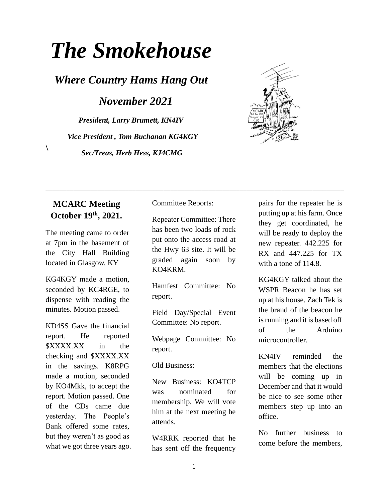# *The Smokehouse*

*Where Country Hams Hang Out*

*November 2021*

*President, Larry Brumett, KN4IV Vice President , Tom Buchanan KG4KGY Sec/Treas, Herb Hess, KJ4CMG*



#### **MCARC Meeting October 19th, 2021.**

 $\setminus$ 

The meeting came to order at 7pm in the basement of the City Hall Building located in Glasgow, KY

KG4KGY made a motion, seconded by KC4RGE, to dispense with reading the minutes. Motion passed.

KD4SS Gave the financial report. He reported \$XXXX.XX in the checking and \$XXXX.XX in the savings. K8RPG made a motion, seconded by KO4Mkk, to accept the report. Motion passed. One of the CDs came due yesterday. The People's Bank offered some rates, but they weren't as good as what we got three years ago. Committee Reports:

Repeater Committee: There has been two loads of rock put onto the access road at the Hwy 63 site. It will be graded again soon by KO4KRM.

\_\_\_\_\_\_\_\_\_\_\_\_\_\_\_\_\_\_\_\_\_\_\_\_\_\_\_\_\_\_\_\_\_\_\_\_\_\_\_\_\_\_\_\_\_\_\_\_\_\_\_\_\_\_\_\_\_\_\_\_\_\_\_\_\_\_\_\_\_\_\_\_\_\_\_\_\_\_\_\_\_\_\_\_\_\_

Hamfest Committee: No report.

Field Day/Special Event Committee: No report.

Webpage Committee: No report.

Old Business:

New Business: KO4TCP was nominated for membership. We will vote him at the next meeting he attends.

W4RRK reported that he has sent off the frequency

pairs for the repeater he is putting up at his farm. Once they get coordinated, he will be ready to deploy the new repeater. 442.225 for RX and 447.225 for TX with a tone of 114.8.

KG4KGY talked about the WSPR Beacon he has set up at his house. Zach Tek is the brand of the beacon he is running and it is based off of the Arduino microcontroller.

KN4IV reminded the members that the elections will be coming up in December and that it would be nice to see some other members step up into an office.

No further business to come before the members,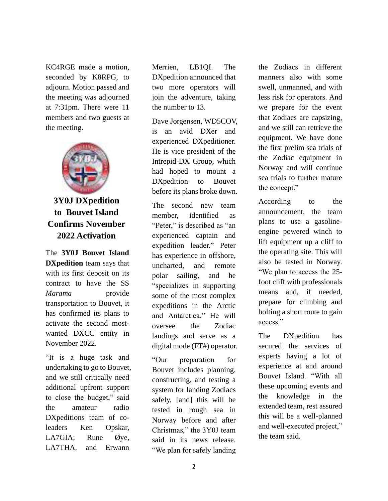KC4RGE made a motion, seconded by K8RPG, to adjourn. Motion passed and the meeting was adjourned at 7:31pm. There were 11 members and two guests at the meeting.



#### **3Y0J DXpedition to Bouvet Island Confirms November 2022 Activation**

The **[3Y0J Bouvet Island](http://www.3y0j.no/)  [DXpedition](http://www.3y0j.no/)** team says that with its first deposit on its contract to have the SS *Marama* provide transportation to Bouvet, it has confirmed its plans to activate the second mostwanted DXCC entity in November 2022.

"It is a huge task and undertaking to go to Bouvet, and we still critically need additional upfront support to close the budget," said the amateur radio DXpeditions team of coleaders Ken Opskar, LA7GIA; Rune Øye, LA7THA, and Erwann

Merrien, LB1QI. The DXpedition announced that two more operators will join the adventure, taking the number to 13.

Dave Jorgensen, WD5COV, is an avid DXer and experienced DXpeditioner. He is vice president of the Intrepid-DX Group, which had hoped to mount a DXpedition to Bouvet before its plans broke down.

The second new team member, identified as "Peter," is described as "an experienced captain and expedition leader." Peter has experience in offshore, uncharted, and remote polar sailing, and he "specializes in supporting some of the most complex expeditions in the Arctic and Antarctica." He will oversee the Zodiac landings and serve as a digital mode (FT#) operator.

"Our preparation for Bouvet includes planning, constructing, and testing a system for landing Zodiacs safely, [and] this will be tested in rough sea in Norway before and after Christmas," the 3Y0J team said in its news release. "We plan for safely landing the Zodiacs in different manners also with some swell, unmanned, and with less risk for operators. And we prepare for the event that Zodiacs are capsizing, and we still can retrieve the equipment. We have done the first prelim sea trials of the Zodiac equipment in Norway and will continue sea trials to further mature the concept."

According to the announcement, the team plans to use a gasolineengine powered winch to lift equipment up a cliff to the operating site. This will also be tested in Norway. "We plan to access the 25 foot cliff with professionals means and, if needed, prepare for climbing and bolting a short route to gain access."

The DXpedition has secured the services of experts having a lot of experience at and around Bouvet Island. "With all these upcoming events and the knowledge in the extended team, rest assured this will be a well-planned and well-executed project," the team said.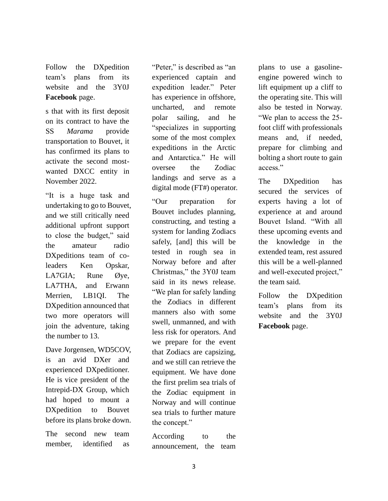Follow the DXpedition team's plans from its website and the 3Y0J **[Facebook](https://www.facebook.com/groups/3093983840726129)** page.

s that with its first deposit on its contract to have the SS *Marama* provide transportation to Bouvet, it has confirmed its plans to activate the second mostwanted DXCC entity in November 2022.

"It is a huge task and undertaking to go to Bouvet, and we still critically need additional upfront support to close the budget," said the amateur radio DXpeditions team of coleaders Ken Opskar, LA7GIA; Rune Øye, LA7THA, and Erwann Merrien, LB1QI. The DXpedition announced that two more operators will join the adventure, taking the number to 13.

Dave Jorgensen, WD5COV, is an avid DXer and experienced DXpeditioner. He is vice president of the Intrepid-DX Group, which had hoped to mount a DXpedition to Bouvet before its plans broke down.

The second new team member, identified as "Peter," is described as "an experienced captain and expedition leader." Peter has experience in offshore, uncharted, and remote polar sailing, and he "specializes in supporting some of the most complex expeditions in the Arctic and Antarctica." He will oversee the Zodiac landings and serve as a digital mode (FT#) operator.

"Our preparation for Bouvet includes planning, constructing, and testing a system for landing Zodiacs safely, [and] this will be tested in rough sea in Norway before and after Christmas," the 3Y0J team said in its news release. "We plan for safely landing the Zodiacs in different manners also with some swell, unmanned, and with less risk for operators. And we prepare for the event that Zodiacs are capsizing, and we still can retrieve the equipment. We have done the first prelim sea trials of the Zodiac equipment in Norway and will continue sea trials to further mature the concept."

According to the announcement, the team plans to use a gasolineengine powered winch to lift equipment up a cliff to the operating site. This will also be tested in Norway. "We plan to access the 25 foot cliff with professionals means and, if needed, prepare for climbing and bolting a short route to gain access."

The DXpedition has secured the services of experts having a lot of experience at and around Bouvet Island. "With all these upcoming events and the knowledge in the extended team, rest assured this will be a well-planned and well-executed project," the team said.

Follow the DXpedition team's plans from its website and the 3Y0J **[Facebook](https://www.facebook.com/groups/3093983840726129)** page.